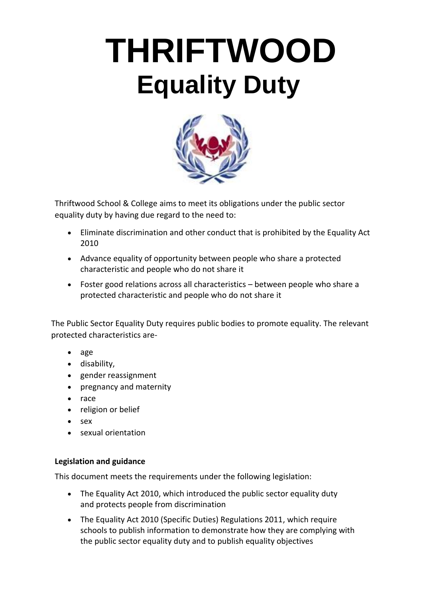# **THRIFTWOOD Equality Duty**



Thriftwood School & College aims to meet its obligations under the public sector equality duty by having due regard to the need to:

- Eliminate discrimination and other conduct that is prohibited by the Equality Act 2010
- Advance equality of opportunity between people who share a protected characteristic and people who do not share it
- Foster good relations across all characteristics between people who share a protected characteristic and people who do not share it

The Public Sector Equality Duty requires public bodies to promote equality. The relevant protected characteristics are-

- age
- disability,
- gender reassignment
- pregnancy and maternity
- race
- religion or belief
- sex
- sexual orientation

## **Legislation and guidance**

This document meets the requirements under the following legislation:

- [The Equality Act 2010, w](http://www.legislation.gov.uk/ukpga/2010/15/contents)hich introduced the public sector equality duty and protects people from discrimination
- [The Equality Act 2010 \(Specific Duties\) Regulations 2011,](http://www.legislation.gov.uk/uksi/2011/2260/contents/made) which require schools to publish information to demonstrate how they are complying with the public sector equality duty and to publish equality objectives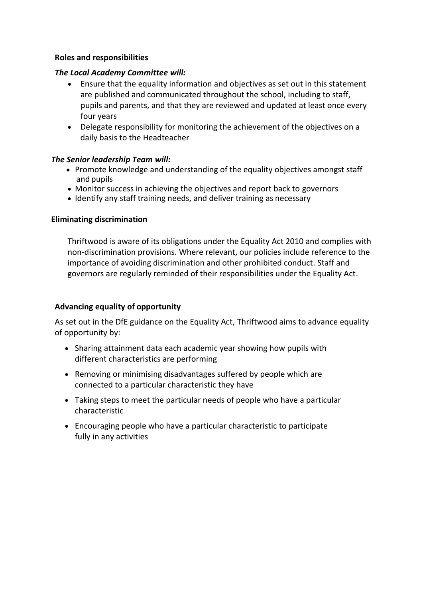#### **Roles and responsibilities**

#### *The Local Academy Committee will:*

- Ensure that the equality information and objectives as set out in this statement are published and communicated throughout the school, including to staff, pupils and parents, and that they are reviewed and updated at least once every four years
- Delegate responsibility for monitoring the achievement of the objectives on a daily basis to the Headteacher

#### *The Senior leadership Team will:*

- Promote knowledge and understanding of the equality objectives amongst staff and pupils
- Monitor success in achieving the objectives and report back to governors
- Identify any staff training needs, and deliver training as necessary

#### **Eliminating discrimination**

Thriftwood is aware of its obligations under the Equality Act 2010 and complies with non-discrimination provisions. Where relevant, our policies include reference to the importance of avoiding discrimination and other prohibited conduct. Staff and governors are regularly reminded of their responsibilities under the Equality Act.

#### **Advancing equality of opportunity**

As set out in the DfE guidance on the Equality Act, Thriftwood aims to advance equality of opportunity by:

- Sharing attainment data each academic year showing how pupils with different characteristics are performing
- Removing or minimising disadvantages suffered by people which are connected to a particular characteristic they have
- Taking steps to meet the particular needs of people who have a particular characteristic
- Encouraging people who have a particular characteristic to participate fully in any activities